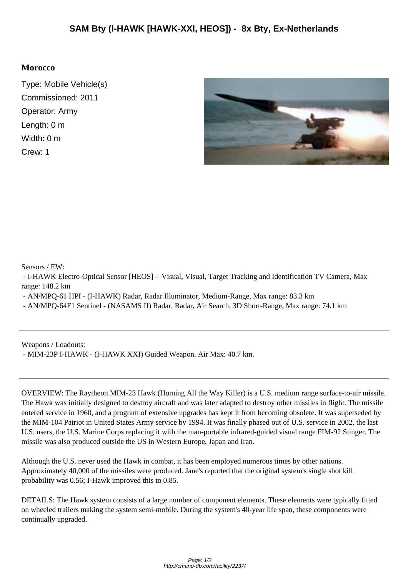## **Morocco**

Type: Mobile Vehicle(s) Commissioned: 2011 Operator: Army Length: 0 m Width: 0 m Crew: 1



Sensors / EW:

 - I-HAWK Electro-Optical Sensor [HEOS] - Visual, Visual, Target Tracking and Identification TV Camera, Max range: 148.2 km

- AN/MPQ-61 HPI - (I-HAWK) Radar, Radar Illuminator, Medium-Range, Max range: 83.3 km

- AN/MPQ-64F1 Sentinel - (NASAMS II) Radar, Radar, Air Search, 3D Short-Range, Max range: 74.1 km

Weapons / Loadouts:

- MIM-23P I-HAWK - (I-HAWK XXI) Guided Weapon. Air Max: 40.7 km.

OVERVIEW: The Raytheon MIM-23 Hawk (Homing All the Way Killer) is a U.S. medium range surface-to-air missile. The Hawk was initially designed to destroy aircraft and was later adapted to destroy other missiles in flight. The missile entered service in 1960, and a program of extensive upgrades has kept it from becoming obsolete. It was superseded by the MIM-104 Patriot in United States Army service by 1994. It was finally phased out of U.S. service in 2002, the last U.S. users, the U.S. Marine Corps replacing it with the man-portable infrared-guided visual range FIM-92 Stinger. The missile was also produced outside the US in Western Europe, Japan and Iran.

Although the U.S. never used the Hawk in combat, it has been employed numerous times by other nations. Approximately 40,000 of the missiles were produced. Jane's reported that the original system's single shot kill probability was 0.56; I-Hawk improved this to 0.85.

DETAILS: The Hawk system consists of a large number of component elements. These elements were typically fitted on wheeled trailers making the system semi-mobile. During the system's 40-year life span, these components were continually upgraded.